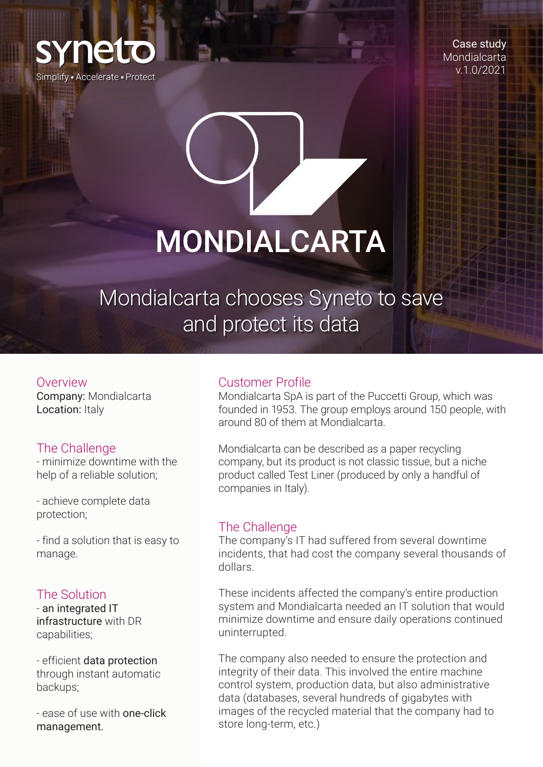

Case study **Mondialcarta** v.1.0/2021

# **MONDIALCARTA**

Mondialcarta chooses Syneto to save and protect its data

#### Overview

Company: Mondialcarta Location: Italy

# The Challenge

- minimize downtime with the help of a reliable solution;

- achieve complete data protection;

- find a solution that is easy to manage.

#### The Solution

- an integrated IT infrastructure with DR capabilities;

- efficient data protection through instant automatic backups;

- ease of use with one-click management.

### Customer Profile

Mondialcarta SpA is part of the Puccetti Group, which was founded in 1953. The group employs around 150 people, with around 80 of them at Mondialcarta.

Mondialcarta can be described as a paper recycling company, but its product is not classic tissue, but a niche product called Test Liner (produced by only a handful of companies in Italy).

#### The Challenge

The company's IT had suffered from several downtime incidents, that had cost the company several thousands of dollars.

These incidents affected the company's entire production system and Mondialcarta needed an IT solution that would minimize downtime and ensure daily operations continued uninterrupted.

The company also needed to ensure the protection and integrity of their data. This involved the entire machine control system, production data, but also administrative data (databases, several hundreds of gigabytes with images of the recycled material that the company had to store long-term, etc.)